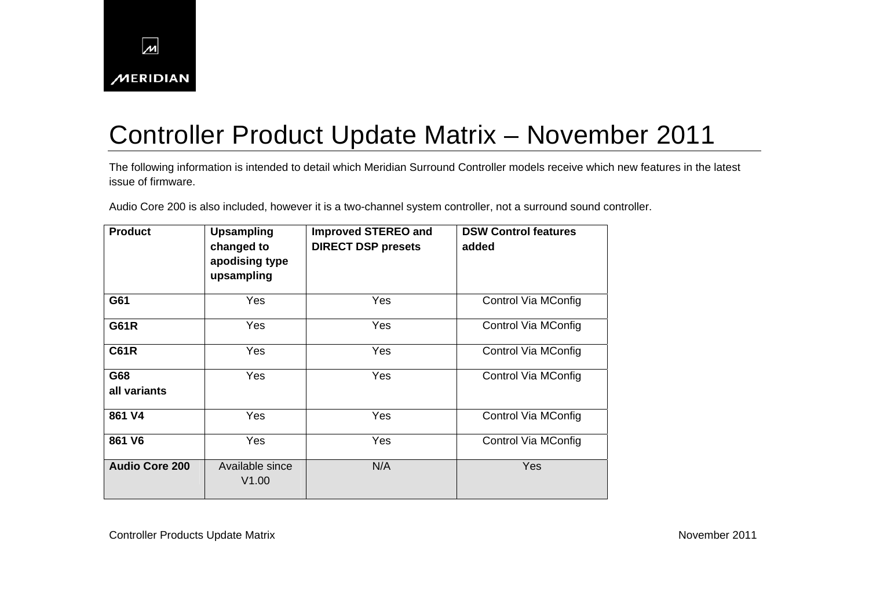

## Controller Product Update Matrix – November 2011

The following information is intended to detail which Meridian Surround Controller models receive which new features in the latest issue of firmware.

Audio Core 200 is also included, however it is a two-channel system controller, not a surround sound controller.

| <b>Product</b>        | <b>Upsampling</b><br>changed to<br>apodising type<br>upsampling | <b>Improved STEREO and</b><br><b>DIRECT DSP presets</b> | <b>DSW Control features</b><br>added |
|-----------------------|-----------------------------------------------------------------|---------------------------------------------------------|--------------------------------------|
| G61                   | <b>Yes</b>                                                      | Yes                                                     | Control Via MConfig                  |
| <b>G61R</b>           | Yes                                                             | Yes                                                     | Control Via MConfig                  |
| <b>C61R</b>           | <b>Yes</b>                                                      | Yes                                                     | Control Via MConfig                  |
| G68<br>all variants   | <b>Yes</b>                                                      | Yes                                                     | Control Via MConfig                  |
| 861 V4                | <b>Yes</b>                                                      | Yes                                                     | Control Via MConfig                  |
| 861 V6                | Yes                                                             | Yes                                                     | Control Via MConfig                  |
| <b>Audio Core 200</b> | Available since<br>V1.00                                        | N/A                                                     | Yes                                  |

Controller Products Update Matrix **November 2011** Controller Products Update Matrix